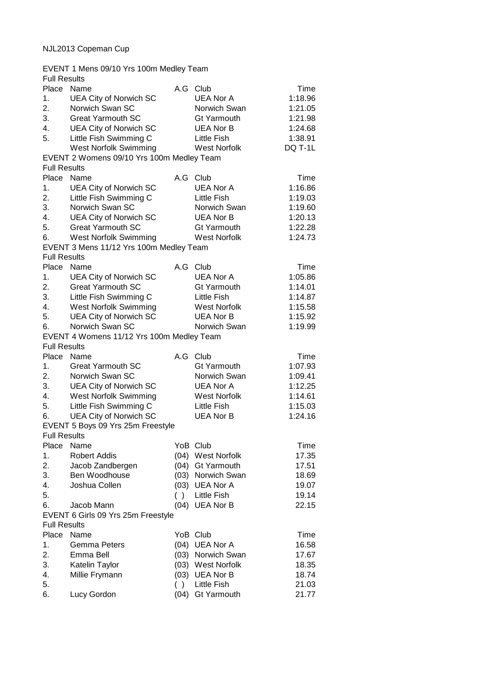## NJL2013 Copeman Cup

| EVENT 1 Mens 09/10 Yrs 100m Medley Team |                                           |          |                     |         |  |
|-----------------------------------------|-------------------------------------------|----------|---------------------|---------|--|
| <b>Full Results</b>                     |                                           |          |                     |         |  |
| Place                                   | Name                                      | A.G      | Club                | Time    |  |
| 1.                                      | <b>UEA City of Norwich SC</b>             |          | <b>UEA Nor A</b>    | 1:18.96 |  |
| 2.                                      | Norwich Swan SC                           |          | Norwich Swan        | 1:21.05 |  |
| 3.                                      | <b>Great Yarmouth SC</b>                  |          | <b>Gt Yarmouth</b>  | 1:21.98 |  |
| 4.                                      | <b>UEA City of Norwich SC</b>             |          | <b>UEA Nor B</b>    | 1:24.68 |  |
| 5.                                      | Little Fish Swimming C                    |          | Little Fish         | 1:38.91 |  |
|                                         | <b>West Norfolk Swimming</b>              |          | <b>West Norfolk</b> | DQ T-1L |  |
|                                         | EVENT 2 Womens 09/10 Yrs 100m Medley Team |          |                     |         |  |
| <b>Full Results</b>                     |                                           |          |                     |         |  |
| Place                                   | Name                                      | A.G      | Club                | Time    |  |
| 1.                                      | <b>UEA City of Norwich SC</b>             |          | <b>UEA Nor A</b>    | 1:16.86 |  |
| 2.                                      | Little Fish Swimming C                    |          | Little Fish         | 1:19.03 |  |
| 3.                                      | Norwich Swan SC                           |          | Norwich Swan        | 1:19.60 |  |
| 4.                                      | <b>UEA City of Norwich SC</b>             |          | <b>UEA Nor B</b>    | 1:20.13 |  |
| 5.                                      | <b>Great Yarmouth SC</b>                  |          | Gt Yarmouth         | 1:22.28 |  |
| 6.                                      | <b>West Norfolk Swimming</b>              |          | <b>West Norfolk</b> | 1:24.73 |  |
|                                         |                                           |          |                     |         |  |
|                                         | EVENT 3 Mens 11/12 Yrs 100m Medley Team   |          |                     |         |  |
| <b>Full Results</b>                     |                                           |          |                     |         |  |
| Place Name                              |                                           | A.G Club |                     | Time    |  |
| 1.                                      | <b>UEA City of Norwich SC</b>             |          | <b>UEA Nor A</b>    | 1:05.86 |  |
| 2.                                      | <b>Great Yarmouth SC</b>                  |          | <b>Gt Yarmouth</b>  | 1:14.01 |  |
| 3.                                      | Little Fish Swimming C                    |          | <b>Little Fish</b>  | 1:14.87 |  |
| 4.                                      | <b>West Norfolk Swimming</b>              |          | <b>West Norfolk</b> | 1:15.58 |  |
| 5.                                      | <b>UEA City of Norwich SC</b>             |          | <b>UEA Nor B</b>    | 1:15.92 |  |
| 6.                                      | Norwich Swan SC                           |          | Norwich Swan        | 1:19.99 |  |
|                                         | EVENT 4 Womens 11/12 Yrs 100m Medley Team |          |                     |         |  |
| <b>Full Results</b>                     |                                           |          |                     |         |  |
| Place                                   | Name                                      | A.G      | Club                | Time    |  |
| 1.                                      | <b>Great Yarmouth SC</b>                  |          | <b>Gt Yarmouth</b>  | 1:07.93 |  |
| 2.                                      | Norwich Swan SC                           |          | Norwich Swan        | 1:09.41 |  |
| 3.                                      | UEA City of Norwich SC                    |          | <b>UEA Nor A</b>    | 1:12.25 |  |
| 4.                                      | West Norfolk Swimming                     |          | <b>West Norfolk</b> | 1:14.61 |  |
| 5.                                      | Little Fish Swimming C                    |          | <b>Little Fish</b>  | 1:15.03 |  |
| 6.                                      | <b>UEA City of Norwich SC</b>             |          | <b>UEA Nor B</b>    | 1:24.16 |  |
|                                         | EVENT 5 Boys 09 Yrs 25m Freestyle         |          |                     |         |  |
| <b>Full Results</b>                     |                                           |          |                     |         |  |
| Place                                   | Name                                      | YoB Club |                     | Time    |  |
| 1.                                      | <b>Robert Addis</b>                       |          | (04) West Norfolk   | 17.35   |  |
| 2.                                      | Jacob Zandbergen                          |          | (04) Gt Yarmouth    | 17.51   |  |
| 3.                                      | Ben Woodhouse                             |          | (03) Norwich Swan   | 18.69   |  |
| 4.                                      | Joshua Collen                             |          | (03) UEA Nor A      | 19.07   |  |
| 5.                                      |                                           |          | () Little Fish      | 19.14   |  |
| 6.                                      | Jacob Mann                                |          | (04) UEA Nor B      | 22.15   |  |
|                                         | EVENT 6 Girls 09 Yrs 25m Freestyle        |          |                     |         |  |
| <b>Full Results</b>                     |                                           |          |                     |         |  |
| Place                                   | Name                                      |          | YoB Club            | Time    |  |
| 1.                                      | Gemma Peters                              |          | (04) UEA Nor A      | 16.58   |  |
| 2.                                      | Emma Bell                                 |          | (03) Norwich Swan   | 17.67   |  |
| 3.                                      | Katelin Taylor                            |          | (03) West Norfolk   | 18.35   |  |
| 4.                                      | Millie Frymann                            |          | (03) UEA Nor B      | 18.74   |  |
| 5.                                      |                                           | ( )      | <b>Little Fish</b>  | 21.03   |  |
| 6.                                      | Lucy Gordon                               | (04)     | <b>Gt Yarmouth</b>  | 21.77   |  |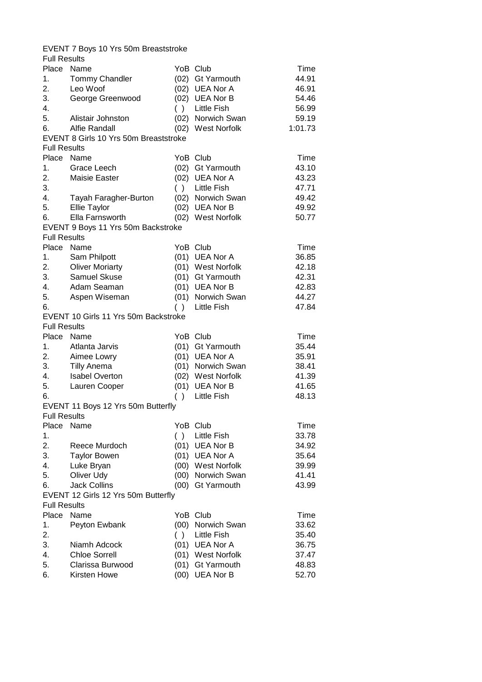|                     | EVENT 7 Boys 10 Yrs 50m Breaststroke  |      |                    |                |
|---------------------|---------------------------------------|------|--------------------|----------------|
| <b>Full Results</b> |                                       |      |                    |                |
| Place Name          |                                       |      | YoB Club           | Time           |
| 1.                  | <b>Tommy Chandler</b>                 |      | (02) Gt Yarmouth   | 44.91          |
| 2.                  | Leo Woof                              |      | (02) UEA Nor A     | 46.91          |
| 3.                  | George Greenwood                      |      | (02) UEA Nor B     | 54.46          |
| 4.                  |                                       | ( )  | <b>Little Fish</b> | 56.99          |
| 5.                  | Alistair Johnston                     |      | (02) Norwich Swan  | 59.19          |
| 6.                  | Alfie Randall                         |      | (02) West Norfolk  | 1:01.73        |
|                     | EVENT 8 Girls 10 Yrs 50m Breaststroke |      |                    |                |
| <b>Full Results</b> |                                       |      |                    |                |
| Place               | Name                                  |      | YoB Club           | Time           |
| 1.                  | Grace Leech                           |      | (02) Gt Yarmouth   | 43.10          |
| 2.                  | Maisie Easter                         |      | (02) UEA Nor A     | 43.23          |
| 3.                  |                                       | ( )  | <b>Little Fish</b> | 47.71          |
| 4.                  | Tayah Faragher-Burton                 |      | (02) Norwich Swan  | 49.42          |
| 5.                  | Ellie Taylor                          |      | (02) UEA Nor B     | 49.92          |
| 6.                  | Ella Farnsworth                       |      | (02) West Norfolk  | 50.77          |
|                     | EVENT 9 Boys 11 Yrs 50m Backstroke    |      |                    |                |
| <b>Full Results</b> |                                       |      |                    |                |
| Place               | Name                                  |      | YoB Club           | Time           |
| 1.                  | Sam Philpott                          |      | (01) UEA Nor A     | 36.85          |
| 2.                  | <b>Oliver Moriarty</b>                |      | (01) West Norfolk  | 42.18          |
| 3.                  | Samuel Skuse                          |      | (01) Gt Yarmouth   | 42.31          |
| 4.                  | Adam Seaman                           |      | (01) UEA Nor B     |                |
|                     |                                       |      | (01) Norwich Swan  | 42.83          |
| 5.<br>6.            | Aspen Wiseman                         | ( )  |                    | 44.27<br>47.84 |
|                     |                                       |      | Little Fish        |                |
|                     | EVENT 10 Girls 11 Yrs 50m Backstroke  |      |                    |                |
| <b>Full Results</b> |                                       |      |                    |                |
| Place Name          |                                       |      | YoB Club           | Time           |
| 1.                  | Atlanta Jarvis                        |      | (01) Gt Yarmouth   | 35.44          |
| 2.                  | Aimee Lowry                           |      | (01) UEA Nor A     | 35.91          |
| 3.                  | <b>Tilly Anema</b>                    |      | (01) Norwich Swan  | 38.41          |
| 4.                  | <b>Isabel Overton</b>                 |      | (02) West Norfolk  | 41.39          |
| 5.                  | Lauren Cooper                         |      | (01) UEA Nor B     | 41.65          |
| 6.                  |                                       | ( )  | <b>Little Fish</b> | 48.13          |
|                     | EVENT 11 Boys 12 Yrs 50m Butterfly    |      |                    |                |
| <b>Full Results</b> |                                       |      |                    |                |
| Place               | Name                                  |      | YoB Club           | Time           |
| 1.                  |                                       | ( )  | <b>Little Fish</b> | 33.78          |
| 2.                  | Reece Murdoch                         |      | $(01)$ UEA Nor B   | 34.92          |
| 3.                  | <b>Taylor Bowen</b>                   |      | (01) UEA Nor A     | 35.64          |
| 4.                  | Luke Bryan                            |      | (00) West Norfolk  | 39.99          |
| 5.                  | Oliver Udy                            |      | (00) Norwich Swan  | 41.41          |
| 6.                  | <b>Jack Collins</b>                   | (00) | <b>Gt Yarmouth</b> | 43.99          |
|                     | EVENT 12 Girls 12 Yrs 50m Butterfly   |      |                    |                |
| <b>Full Results</b> |                                       |      |                    |                |
| Place               | Name                                  |      | YoB Club           | Time           |
| 1.                  | Peyton Ewbank                         |      | (00) Norwich Swan  | 33.62          |
| 2.                  |                                       | ( )  | <b>Little Fish</b> | 35.40          |
| 3.                  | Niamh Adcock                          |      | (01) UEA Nor A     | 36.75          |
| 4.                  | <b>Chloe Sorrell</b>                  |      | (01) West Norfolk  | 37.47          |
| 5.                  | Clarissa Burwood                      |      | (01) Gt Yarmouth   | 48.83          |
| 6.                  | Kirsten Howe                          |      | (00) UEA Nor B     | 52.70          |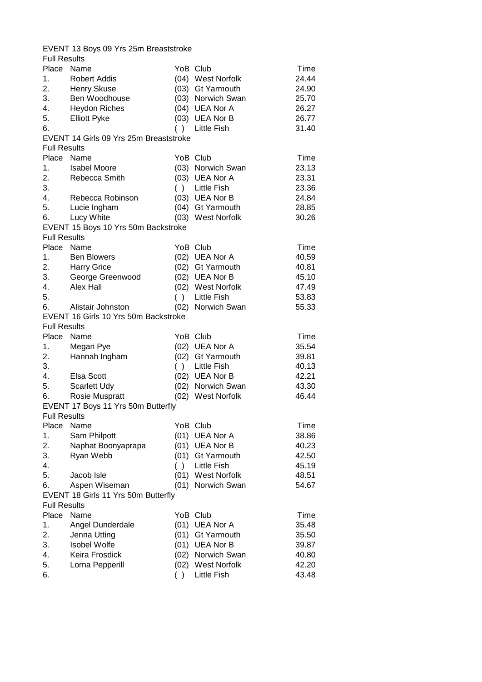|                     | EVENT 13 Boys 09 Yrs 25m Breaststroke  |      |                    |                |
|---------------------|----------------------------------------|------|--------------------|----------------|
| <b>Full Results</b> |                                        |      |                    |                |
| Place Name          |                                        |      | YoB Club           | Time           |
| 1.                  | <b>Robert Addis</b>                    |      | (04) West Norfolk  | 24.44          |
| 2.                  | Henry Skuse                            |      | (03) Gt Yarmouth   | 24.90          |
| 3.                  | Ben Woodhouse                          |      | (03) Norwich Swan  | 25.70          |
| 4.                  | <b>Heydon Riches</b>                   |      | (04) UEA Nor A     | 26.27          |
| 5.                  | <b>Elliott Pyke</b>                    |      | (03) UEA Nor B     | 26.77          |
| 6.                  |                                        | ( )  | Little Fish        | 31.40          |
|                     | EVENT 14 Girls 09 Yrs 25m Breaststroke |      |                    |                |
| <b>Full Results</b> |                                        |      |                    |                |
| Place               | Name                                   |      | YoB Club           | Time           |
| 1.                  | <b>Isabel Moore</b>                    |      | (03) Norwich Swan  | 23.13          |
| 2.                  | Rebecca Smith                          |      | (03) UEA Nor A     | 23.31          |
| 3.                  |                                        | ( )  | Little Fish        | 23.36          |
| 4.                  | Rebecca Robinson                       |      | (03) UEA Nor B     | 24.84          |
| 5.                  | Lucie Ingham                           |      | (04) Gt Yarmouth   | 28.85          |
| 6.                  | Lucy White                             |      | (03) West Norfolk  | 30.26          |
|                     | EVENT 15 Boys 10 Yrs 50m Backstroke    |      |                    |                |
| <b>Full Results</b> |                                        |      |                    |                |
| Place               | Name                                   |      | YoB Club           |                |
|                     |                                        |      |                    | Time           |
| 1.                  | <b>Ben Blowers</b>                     |      | (02) UEA Nor A     | 40.59<br>40.81 |
| 2.                  | <b>Harry Grice</b>                     |      | (02) Gt Yarmouth   |                |
| 3.                  | George Greenwood                       |      | (02) UEA Nor B     | 45.10          |
| 4.                  | Alex Hall                              |      | (02) West Norfolk  | 47.49          |
| 5.                  |                                        |      | () Little Fish     | 53.83          |
| 6.                  | Alistair Johnston                      |      | (02) Norwich Swan  | 55.33          |
|                     | EVENT 16 Girls 10 Yrs 50m Backstroke   |      |                    |                |
| <b>Full Results</b> |                                        |      |                    |                |
| Place Name          |                                        |      | YoB Club           | Time           |
| 1.                  | Megan Pye                              |      | (02) UEA Nor A     | 35.54          |
| 2.                  | Hannah Ingham                          |      | (02) Gt Yarmouth   | 39.81          |
| 3.                  |                                        |      | () Little Fish     | 40.13          |
| 4.                  | Elsa Scott                             |      | (02) UEA Nor B     | 42.21          |
| 5.                  | <b>Scarlett Udy</b>                    |      | (02) Norwich Swan  | 43.30          |
| 6.                  | Rosie Muspratt                         |      | (02) West Norfolk  | 46.44          |
|                     | EVENT 17 Boys 11 Yrs 50m Butterfly     |      |                    |                |
| <b>Full Results</b> |                                        |      |                    |                |
| Place               | Name                                   |      | YoB Club           | Time           |
| 1.                  | Sam Philpott                           | (01) | UEA Nor A          | 38.86          |
| 2.                  | Naphat Boonyaprapa                     |      | (01) UEA Nor B     | 40.23          |
| 3.                  | Ryan Webb                              | (01) | <b>Gt Yarmouth</b> | 42.50          |
| 4.                  |                                        | ( )  | <b>Little Fish</b> | 45.19          |
| 5.                  | Jacob Isle                             |      | (01) West Norfolk  | 48.51          |
| 6.                  | Aspen Wiseman                          |      | (01) Norwich Swan  | 54.67          |
|                     | EVENT 18 Girls 11 Yrs 50m Butterfly    |      |                    |                |
| <b>Full Results</b> |                                        |      |                    |                |
| Place               | Name                                   |      | YoB Club           | Time           |
| 1.                  | Angel Dunderdale                       |      | (01) UEA Nor A     | 35.48          |
| 2.                  | Jenna Utting                           |      | (01) Gt Yarmouth   | 35.50          |
| 3.                  | <b>Isobel Wolfe</b>                    |      | (01) UEA Nor B     | 39.87          |
| 4.                  | Keira Frosdick                         |      | (02) Norwich Swan  | 40.80          |
| 5.                  | Lorna Pepperill                        |      | (02) West Norfolk  | 42.20          |
| 6.                  |                                        |      | <b>Little Fish</b> | 43.48          |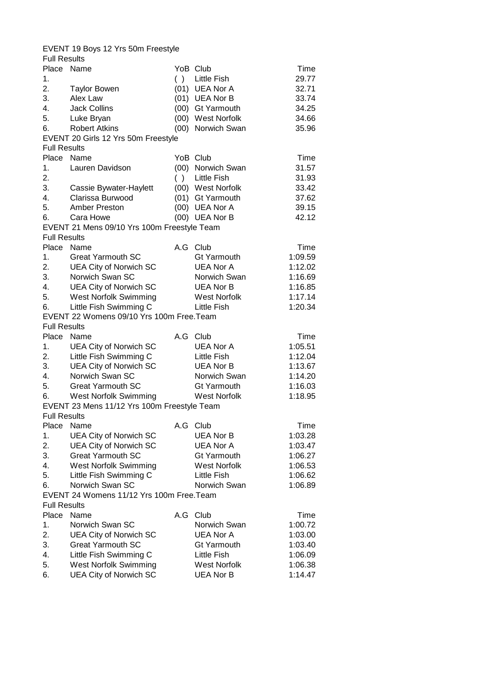|                     | EVENT 19 Boys 12 Yrs 50m Freestyle                            |     |                                         |                    |  |
|---------------------|---------------------------------------------------------------|-----|-----------------------------------------|--------------------|--|
| <b>Full Results</b> |                                                               |     |                                         |                    |  |
| Place Name          |                                                               |     | YoB Club                                | Time               |  |
| 1.                  |                                                               |     | () Little Fish                          | 29.77              |  |
| 2.                  | <b>Taylor Bowen</b>                                           |     | (01) UEA Nor A                          | 32.71              |  |
| 3.                  | Alex Law                                                      |     | (01) UEA Nor B                          | 33.74              |  |
| 4.                  | <b>Jack Collins</b>                                           |     | (00) Gt Yarmouth                        | 34.25              |  |
| 5.                  | Luke Bryan                                                    |     | (00) West Norfolk                       | 34.66              |  |
| 6.                  | <b>Robert Atkins</b>                                          |     | (00) Norwich Swan                       | 35.96              |  |
|                     |                                                               |     |                                         |                    |  |
|                     | EVENT 20 Girls 12 Yrs 50m Freestyle                           |     |                                         |                    |  |
| <b>Full Results</b> |                                                               |     |                                         |                    |  |
| Place               | Name                                                          |     | YoB Club                                | Time               |  |
| 1.                  | Lauren Davidson                                               |     | (00) Norwich Swan                       | 31.57              |  |
| 2.                  |                                                               |     | () Little Fish                          | 31.93              |  |
| 3.                  | Cassie Bywater-Haylett                                        |     | (00) West Norfolk                       | 33.42              |  |
| 4.                  | Clarissa Burwood                                              |     | (01) Gt Yarmouth                        | 37.62              |  |
| 5.                  | <b>Amber Preston</b>                                          |     | (00) UEA Nor A                          | 39.15              |  |
| 6.                  | Cara Howe                                                     |     | (00) UEA Nor B                          | 42.12              |  |
|                     | EVENT 21 Mens 09/10 Yrs 100m Freestyle Team                   |     |                                         |                    |  |
| <b>Full Results</b> |                                                               |     |                                         |                    |  |
| Place               | Name                                                          |     | A.G Club                                | Time               |  |
| 1.                  | <b>Great Yarmouth SC</b>                                      |     | <b>Gt Yarmouth</b>                      | 1:09.59            |  |
| 2.                  | <b>UEA City of Norwich SC</b>                                 |     | <b>UEA Nor A</b>                        | 1:12.02            |  |
| 3.                  | Norwich Swan SC                                               |     | Norwich Swan                            | 1:16.69            |  |
|                     |                                                               |     |                                         |                    |  |
| 4.                  | <b>UEA City of Norwich SC</b>                                 |     | <b>UEA Nor B</b>                        | 1:16.85            |  |
| 5.                  | West Norfolk Swimming                                         |     | West Norfolk                            | 1:17.14            |  |
| 6.                  | Little Fish Swimming C                                        |     | Little Fish                             | 1:20.34            |  |
|                     | EVENT 22 Womens 09/10 Yrs 100m Free. Team                     |     |                                         |                    |  |
| <b>Full Results</b> |                                                               |     |                                         |                    |  |
| Place Name          |                                                               |     | A.G Club                                | Time               |  |
| 1.                  | <b>UEA City of Norwich SC</b>                                 |     | <b>UEA Nor A</b>                        |                    |  |
|                     |                                                               |     |                                         | 1:05.51            |  |
| 2.                  | Little Fish Swimming C                                        |     | <b>Little Fish</b>                      | 1:12.04            |  |
| 3.                  | <b>UEA City of Norwich SC</b>                                 |     | <b>UEA Nor B</b>                        | 1:13.67            |  |
| 4.                  | Norwich Swan SC                                               |     | Norwich Swan                            | 1:14.20            |  |
|                     |                                                               |     | <b>Gt Yarmouth</b>                      |                    |  |
| 5.                  | <b>Great Yarmouth SC</b>                                      |     |                                         | 1:16.03            |  |
| 6.                  | <b>West Norfolk Swimming</b>                                  |     | <b>West Norfolk</b>                     | 1:18.95            |  |
|                     | EVENT 23 Mens 11/12 Yrs 100m Freestyle Team                   |     |                                         |                    |  |
| <b>Full Results</b> |                                                               |     |                                         |                    |  |
| Place               | Name                                                          |     | A.G Club                                | Time               |  |
| 1.                  | <b>UEA City of Norwich SC</b>                                 |     | <b>UEA Nor B</b>                        | 1:03.28            |  |
| 2.                  | <b>UEA City of Norwich SC</b>                                 |     | <b>UEA Nor A</b>                        | 1:03.47            |  |
| 3.                  | <b>Great Yarmouth SC</b>                                      |     | <b>Gt Yarmouth</b>                      | 1:06.27            |  |
| 4.                  | <b>West Norfolk Swimming</b>                                  |     | <b>West Norfolk</b>                     | 1:06.53            |  |
| 5.                  | Little Fish Swimming C                                        |     | <b>Little Fish</b>                      | 1:06.62            |  |
| 6.                  | Norwich Swan SC                                               |     | Norwich Swan                            | 1:06.89            |  |
|                     | EVENT 24 Womens 11/12 Yrs 100m Free. Team                     |     |                                         |                    |  |
| <b>Full Results</b> |                                                               |     |                                         |                    |  |
| Place               | Name                                                          | A.G | Club                                    | Time               |  |
| 1.                  | Norwich Swan SC                                               |     | Norwich Swan                            | 1:00.72            |  |
| 2.                  | <b>UEA City of Norwich SC</b>                                 |     | UEA Nor A                               | 1:03.00            |  |
| 3.                  | <b>Great Yarmouth SC</b>                                      |     | <b>Gt Yarmouth</b>                      |                    |  |
|                     |                                                               |     |                                         | 1:03.40            |  |
| 4.                  | Little Fish Swimming C                                        |     | Little Fish                             | 1:06.09            |  |
| 5.<br>6.            | <b>West Norfolk Swimming</b><br><b>UEA City of Norwich SC</b> |     | <b>West Norfolk</b><br><b>UEA Nor B</b> | 1:06.38<br>1:14.47 |  |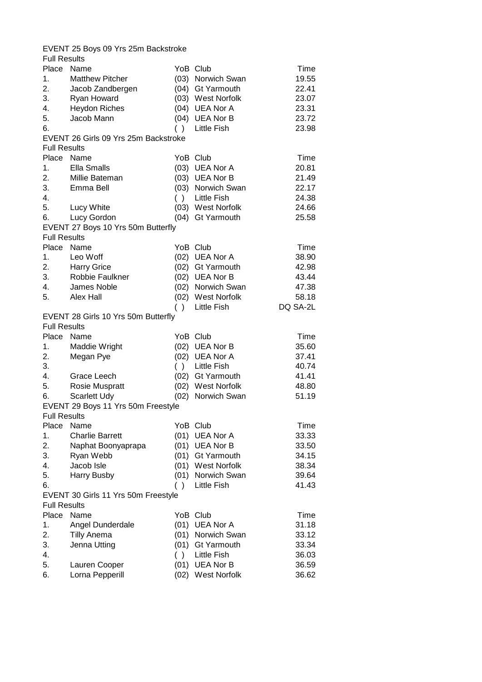| EVENT 25 Boys 09 Yrs 25m Backstroke |                                      |      |                     |          |  |
|-------------------------------------|--------------------------------------|------|---------------------|----------|--|
| <b>Full Results</b>                 |                                      |      |                     |          |  |
| Place                               | Name                                 |      | YoB Club            | Time     |  |
| 1.                                  | <b>Matthew Pitcher</b>               |      | (03) Norwich Swan   | 19.55    |  |
| 2.                                  | Jacob Zandbergen                     |      | (04) Gt Yarmouth    | 22.41    |  |
| 3.                                  | Ryan Howard                          |      | (03) West Norfolk   | 23.07    |  |
| 4.                                  | <b>Heydon Riches</b>                 |      | (04) UEA Nor A      | 23.31    |  |
| 5.                                  | Jacob Mann                           |      | (04) UEA Nor B      | 23.72    |  |
| 6.                                  |                                      | ( )  | <b>Little Fish</b>  | 23.98    |  |
|                                     | EVENT 26 Girls 09 Yrs 25m Backstroke |      |                     |          |  |
| <b>Full Results</b>                 |                                      |      |                     |          |  |
| Place                               | Name                                 |      | YoB Club            | Time     |  |
| 1.                                  | <b>Ella Smalls</b>                   |      | (03) UEA Nor A      | 20.81    |  |
| 2.                                  | Millie Bateman                       |      | (03) UEA Nor B      | 21.49    |  |
| 3.                                  | Emma Bell                            |      | (03) Norwich Swan   | 22.17    |  |
| 4.                                  |                                      |      | () Little Fish      | 24.38    |  |
| 5.                                  | Lucy White                           |      | (03) West Norfolk   | 24.66    |  |
| 6.                                  | Lucy Gordon                          |      | (04) Gt Yarmouth    | 25.58    |  |
|                                     | EVENT 27 Boys 10 Yrs 50m Butterfly   |      |                     |          |  |
| <b>Full Results</b>                 |                                      |      |                     |          |  |
| Place                               | Name                                 |      | YoB Club            | Time     |  |
|                                     |                                      |      |                     |          |  |
| 1.                                  | Leo Woff                             |      | (02) UEA Nor A      | 38.90    |  |
| 2.                                  | <b>Harry Grice</b>                   |      | (02) Gt Yarmouth    | 42.98    |  |
| 3.                                  | Robbie Faulkner                      |      | (02) UEA Nor B      | 43.44    |  |
| 4.                                  | James Noble                          |      | (02) Norwich Swan   | 47.38    |  |
| 5.                                  | Alex Hall                            |      | (02) West Norfolk   | 58.18    |  |
|                                     |                                      | ( )  | Little Fish         | DQ SA-2L |  |
|                                     | EVENT 28 Girls 10 Yrs 50m Butterfly  |      |                     |          |  |
| <b>Full Results</b>                 |                                      |      |                     |          |  |
| Place                               | Name                                 |      | YoB Club            | Time     |  |
| 1.                                  | Maddie Wright                        |      | (02) UEA Nor B      | 35.60    |  |
| 2.                                  | Megan Pye                            |      | (02) UEA Nor A      | 37.41    |  |
| 3.                                  |                                      |      | () Little Fish      | 40.74    |  |
| 4.                                  | Grace Leech                          |      | (02) Gt Yarmouth    | 41.41    |  |
| 5.                                  | Rosie Muspratt                       |      | (02) West Norfolk   | 48.80    |  |
| 6.                                  | <b>Scarlett Udy</b>                  |      | (02) Norwich Swan   | 51.19    |  |
|                                     | EVENT 29 Boys 11 Yrs 50m Freestyle   |      |                     |          |  |
| <b>Full Results</b>                 |                                      |      |                     |          |  |
| Place                               | Name                                 |      | YoB Club            | Time     |  |
| 1.                                  | <b>Charlie Barrett</b>               | (01) | <b>UEA Nor A</b>    | 33.33    |  |
| 2.                                  | Naphat Boonyaprapa                   |      | (01) UEA Nor B      | 33.50    |  |
| 3.                                  | Ryan Webb                            | (01) | Gt Yarmouth         | 34.15    |  |
| 4.                                  | Jacob Isle                           |      | (01) West Norfolk   | 38.34    |  |
| 5.                                  | <b>Harry Busby</b>                   | (01) | Norwich Swan        | 39.64    |  |
| 6.                                  |                                      | ( )  | Little Fish         | 41.43    |  |
|                                     | EVENT 30 Girls 11 Yrs 50m Freestyle  |      |                     |          |  |
| <b>Full Results</b>                 |                                      |      |                     |          |  |
| Place                               | Name                                 |      | YoB Club            | Time     |  |
| 1.                                  | Angel Dunderdale                     |      | (01) UEA Nor A      | 31.18    |  |
| 2.                                  | <b>Tilly Anema</b>                   |      | (01) Norwich Swan   | 33.12    |  |
| 3.                                  | Jenna Utting                         |      | (01) Gt Yarmouth    | 33.34    |  |
| 4.                                  |                                      | ( )  | <b>Little Fish</b>  | 36.03    |  |
| 5.                                  | Lauren Cooper                        |      | (01) UEA Nor B      | 36.59    |  |
| 6.                                  | Lorna Pepperill                      | (02) | <b>West Norfolk</b> | 36.62    |  |
|                                     |                                      |      |                     |          |  |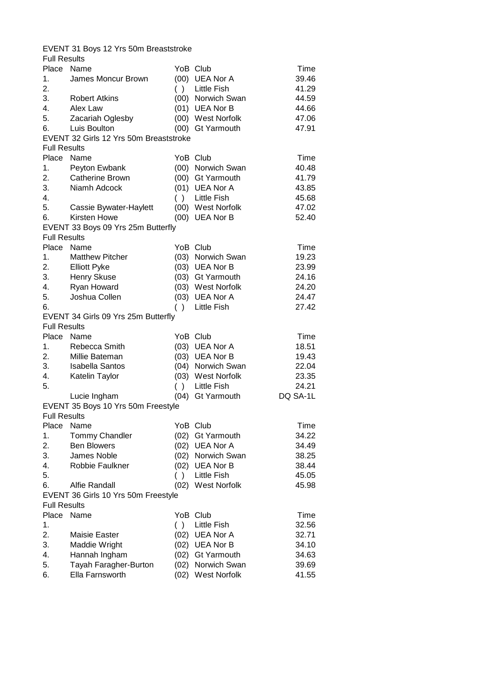|                     | EVENT 31 Boys 12 Yrs 50m Breaststroke  |           |                     |          |
|---------------------|----------------------------------------|-----------|---------------------|----------|
| <b>Full Results</b> |                                        |           |                     |          |
| Place Name          |                                        |           | YoB Club            | Time     |
| 1.                  | James Moncur Brown                     |           | (00) UEA Nor A      | 39.46    |
| 2.                  |                                        |           | () Little Fish      | 41.29    |
| 3.                  | <b>Robert Atkins</b>                   |           | (00) Norwich Swan   | 44.59    |
| 4.                  | Alex Law                               |           | (01) UEA Nor B      | 44.66    |
| 5.                  | Zacariah Oglesby                       |           | (00) West Norfolk   | 47.06    |
| 6.                  | Luis Boulton                           |           | (00) Gt Yarmouth    | 47.91    |
|                     | EVENT 32 Girls 12 Yrs 50m Breaststroke |           |                     |          |
|                     |                                        |           |                     |          |
| <b>Full Results</b> |                                        |           |                     |          |
| Place               | Name                                   |           | YoB Club            | Time     |
| 1.                  | Peyton Ewbank                          |           | (00) Norwich Swan   | 40.48    |
| 2.                  | <b>Catherine Brown</b>                 |           | (00) Gt Yarmouth    | 41.79    |
| 3.                  | Niamh Adcock                           |           | (01) UEA Nor A      | 43.85    |
| 4.                  |                                        |           | () Little Fish      | 45.68    |
| 5.                  | Cassie Bywater-Haylett                 |           | (00) West Norfolk   | 47.02    |
| 6.                  | Kirsten Howe                           |           | (00) UEA Nor B      | 52.40    |
|                     | EVENT 33 Boys 09 Yrs 25m Butterfly     |           |                     |          |
| <b>Full Results</b> |                                        |           |                     |          |
| Place               | Name                                   |           | YoB Club            | Time     |
| 1.                  | <b>Matthew Pitcher</b>                 |           | (03) Norwich Swan   | 19.23    |
| 2.                  | <b>Elliott Pyke</b>                    |           | (03) UEA Nor B      | 23.99    |
| 3.                  | Henry Skuse                            |           | (03) Gt Yarmouth    | 24.16    |
| 4.                  | Ryan Howard                            |           | (03) West Norfolk   | 24.20    |
| 5.                  | Joshua Collen                          |           | (03) UEA Nor A      | 24.47    |
|                     |                                        |           |                     |          |
| 6.                  |                                        | ( )       | Little Fish         | 27.42    |
|                     | EVENT 34 Girls 09 Yrs 25m Butterfly    |           |                     |          |
| <b>Full Results</b> |                                        |           |                     |          |
| Place Name          |                                        |           | YoB Club            | Time     |
| 1.                  | Rebecca Smith                          |           | (03) UEA Nor A      | 18.51    |
| 2.                  | Millie Bateman                         |           | (03) UEA Nor B      | 19.43    |
| 3.                  | <b>Isabella Santos</b>                 |           | (04) Norwich Swan   | 22.04    |
| 4.                  | Katelin Taylor                         |           | (03) West Norfolk   | 23.35    |
| 5.                  |                                        |           | () Little Fish      | 24.21    |
|                     | Lucie Ingham                           |           | (04) Gt Yarmouth    | DQ SA-1L |
|                     | EVENT 35 Boys 10 Yrs 50m Freestyle     |           |                     |          |
| <b>Full Results</b> |                                        |           |                     |          |
| Place               | Name                                   |           | YoB Club            | Time     |
| 1.                  | <b>Tommy Chandler</b>                  | (02)      | <b>Gt Yarmouth</b>  | 34.22    |
| 2.                  | <b>Ben Blowers</b>                     |           | (02) UEA Nor A      | 34.49    |
| 3.                  | James Noble                            |           | (02) Norwich Swan   | 38.25    |
| 4.                  | Robbie Faulkner                        |           | (02) UEA Nor B      | 38.44    |
| 5.                  |                                        | $\lambda$ | <b>Little Fish</b>  | 45.05    |
| 6.                  | Alfie Randall                          | (02)      | <b>West Norfolk</b> | 45.98    |
|                     | EVENT 36 Girls 10 Yrs 50m Freestyle    |           |                     |          |
| <b>Full Results</b> |                                        |           |                     |          |
| Place               | Name                                   |           | YoB Club            | Time     |
|                     |                                        |           |                     |          |
| 1.                  |                                        | ( )       | <b>Little Fish</b>  | 32.56    |
| 2.                  | <b>Maisie Easter</b>                   |           | (02) UEA Nor A      | 32.71    |
| 3.                  | Maddie Wright                          |           | (02) UEA Nor B      | 34.10    |
| 4.                  | Hannah Ingham                          |           | (02) Gt Yarmouth    | 34.63    |
| 5.                  | Tayah Faragher-Burton                  |           | (02) Norwich Swan   | 39.69    |
| 6.                  | Ella Farnsworth                        | (02)      | <b>West Norfolk</b> | 41.55    |